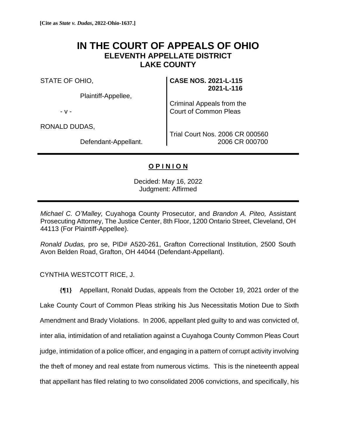## **IN THE COURT OF APPEALS OF OHIO ELEVENTH APPELLATE DISTRICT LAKE COUNTY**

STATE OF OHIO,

Plaintiff-Appellee,

- v -

RONALD DUDAS,

Defendant-Appellant.

**CASE NOS. 2021-L-115 2021-L-116**

Criminal Appeals from the Court of Common Pleas

Trial Court Nos. 2006 CR 000560 2006 CR 000700

## **O P I N I O N**

Decided: May 16, 2022 Judgment: Affirmed

*Michael C. O'Malley,* Cuyahoga County Prosecutor, and *Brandon A. Piteo,* Assistant Prosecuting Attorney, The Justice Center, 8th Floor, 1200 Ontario Street, Cleveland, OH 44113 (For Plaintiff-Appellee).

*Ronald Dudas,* pro se, PID# A520-261, Grafton Correctional Institution, 2500 South Avon Belden Road, Grafton, OH 44044 (Defendant-Appellant).

CYNTHIA WESTCOTT RICE, J.

**{¶1}** Appellant, Ronald Dudas, appeals from the October 19, 2021 order of the Lake County Court of Common Pleas striking his Jus Necessitatis Motion Due to Sixth Amendment and Brady Violations. In 2006, appellant pled guilty to and was convicted of, inter alia, intimidation of and retaliation against a Cuyahoga County Common Pleas Court judge, intimidation of a police officer, and engaging in a pattern of corrupt activity involving the theft of money and real estate from numerous victims. This is the nineteenth appeal that appellant has filed relating to two consolidated 2006 convictions, and specifically, his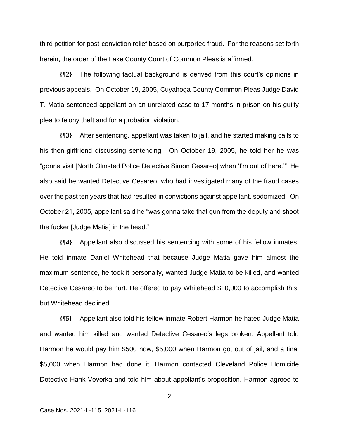third petition for post-conviction relief based on purported fraud. For the reasons set forth herein, the order of the Lake County Court of Common Pleas is affirmed.

**{¶2}** The following factual background is derived from this court's opinions in previous appeals. On October 19, 2005, Cuyahoga County Common Pleas Judge David T. Matia sentenced appellant on an unrelated case to 17 months in prison on his guilty plea to felony theft and for a probation violation.

**{¶3}** After sentencing, appellant was taken to jail, and he started making calls to his then-girlfriend discussing sentencing. On October 19, 2005, he told her he was "gonna visit [North Olmsted Police Detective Simon Cesareo] when 'I'm out of here.'" He also said he wanted Detective Cesareo, who had investigated many of the fraud cases over the past ten years that had resulted in convictions against appellant, sodomized. On October 21, 2005, appellant said he "was gonna take that gun from the deputy and shoot the fucker [Judge Matia] in the head."

**{¶4}** Appellant also discussed his sentencing with some of his fellow inmates. He told inmate Daniel Whitehead that because Judge Matia gave him almost the maximum sentence, he took it personally, wanted Judge Matia to be killed, and wanted Detective Cesareo to be hurt. He offered to pay Whitehead \$10,000 to accomplish this, but Whitehead declined.

**{¶5}** Appellant also told his fellow inmate Robert Harmon he hated Judge Matia and wanted him killed and wanted Detective Cesareo's legs broken. Appellant told Harmon he would pay him \$500 now, \$5,000 when Harmon got out of jail, and a final \$5,000 when Harmon had done it. Harmon contacted Cleveland Police Homicide Detective Hank Veverka and told him about appellant's proposition. Harmon agreed to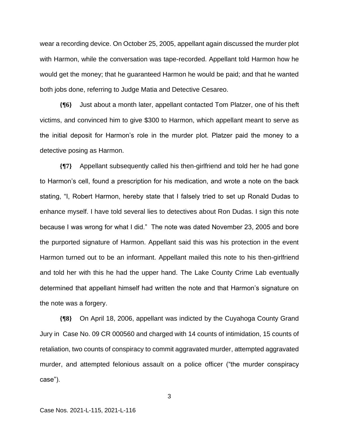wear a recording device. On October 25, 2005, appellant again discussed the murder plot with Harmon, while the conversation was tape-recorded. Appellant told Harmon how he would get the money; that he guaranteed Harmon he would be paid; and that he wanted both jobs done, referring to Judge Matia and Detective Cesareo.

**{¶6}** Just about a month later, appellant contacted Tom Platzer, one of his theft victims, and convinced him to give \$300 to Harmon, which appellant meant to serve as the initial deposit for Harmon's role in the murder plot. Platzer paid the money to a detective posing as Harmon.

**{¶7}** Appellant subsequently called his then-girlfriend and told her he had gone to Harmon's cell, found a prescription for his medication, and wrote a note on the back stating, "I, Robert Harmon, hereby state that I falsely tried to set up Ronald Dudas to enhance myself. I have told several lies to detectives about Ron Dudas. I sign this note because I was wrong for what I did." The note was dated November 23, 2005 and bore the purported signature of Harmon. Appellant said this was his protection in the event Harmon turned out to be an informant. Appellant mailed this note to his then-girlfriend and told her with this he had the upper hand. The Lake County Crime Lab eventually determined that appellant himself had written the note and that Harmon's signature on the note was a forgery.

**{¶8}** On April 18, 2006, appellant was indicted by the Cuyahoga County Grand Jury in Case No. 09 CR 000560 and charged with 14 counts of intimidation, 15 counts of retaliation, two counts of conspiracy to commit aggravated murder, attempted aggravated murder, and attempted felonious assault on a police officer ("the murder conspiracy case").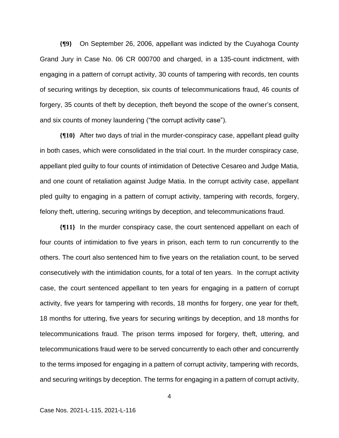**{¶9}** On September 26, 2006, appellant was indicted by the Cuyahoga County Grand Jury in Case No. 06 CR 000700 and charged, in a 135-count indictment, with engaging in a pattern of corrupt activity, 30 counts of tampering with records, ten counts of securing writings by deception, six counts of telecommunications fraud, 46 counts of forgery, 35 counts of theft by deception, theft beyond the scope of the owner's consent, and six counts of money laundering ("the corrupt activity case").

**{¶10}** After two days of trial in the murder-conspiracy case, appellant plead guilty in both cases, which were consolidated in the trial court. In the murder conspiracy case, appellant pled guilty to four counts of intimidation of Detective Cesareo and Judge Matia, and one count of retaliation against Judge Matia. In the corrupt activity case, appellant pled guilty to engaging in a pattern of corrupt activity, tampering with records, forgery, felony theft, uttering, securing writings by deception, and telecommunications fraud.

**{¶11}** In the murder conspiracy case, the court sentenced appellant on each of four counts of intimidation to five years in prison, each term to run concurrently to the others. The court also sentenced him to five years on the retaliation count, to be served consecutively with the intimidation counts, for a total of ten years. In the corrupt activity case, the court sentenced appellant to ten years for engaging in a pattern of corrupt activity, five years for tampering with records, 18 months for forgery, one year for theft, 18 months for uttering, five years for securing writings by deception, and 18 months for telecommunications fraud. The prison terms imposed for forgery, theft, uttering, and telecommunications fraud were to be served concurrently to each other and concurrently to the terms imposed for engaging in a pattern of corrupt activity, tampering with records, and securing writings by deception. The terms for engaging in a pattern of corrupt activity,

Case Nos. 2021-L-115, 2021-L-116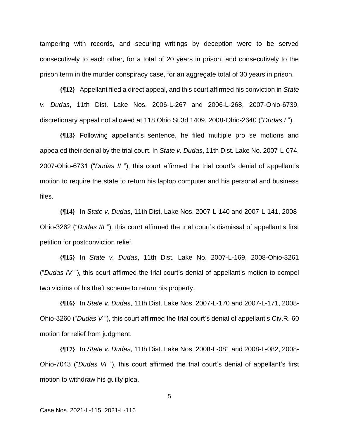tampering with records, and securing writings by deception were to be served consecutively to each other, for a total of 20 years in prison, and consecutively to the prison term in the murder conspiracy case, for an aggregate total of 30 years in prison.

**{¶12}** Appellant filed a direct appeal, and this court affirmed his conviction in *State v. Dudas*, 11th Dist. Lake Nos. 2006-L-267 and 2006-L-268, 2007-Ohio-6739, discretionary appeal not allowed at 118 Ohio St.3d 1409, 2008-Ohio-2340 ("*Dudas I* ").

**{¶13}** Following appellant's sentence, he filed multiple pro se motions and appealed their denial by the trial court. In *State v. Dudas*, 11th Dist. Lake No. 2007-L-074, 2007-Ohio-6731 ("*Dudas II* "), this court affirmed the trial court's denial of appellant's motion to require the state to return his laptop computer and his personal and business files.

**{¶14}** In *State v. Dudas*, 11th Dist. Lake Nos. 2007-L-140 and 2007-L-141, 2008- Ohio-3262 ("*Dudas III* "), this court affirmed the trial court's dismissal of appellant's first petition for postconviction relief.

**{¶15}** In *State v. Dudas*, 11th Dist. Lake No. 2007-L-169, 2008-Ohio-3261 ("*Dudas IV* "), this court affirmed the trial court's denial of appellant's motion to compel two victims of his theft scheme to return his property.

**{¶16}** In *State v. Dudas*, 11th Dist. Lake Nos. 2007-L-170 and 2007-L-171, 2008- Ohio-3260 ("*Dudas V* "), this court affirmed the trial court's denial of appellant's Civ.R. 60 motion for relief from judgment.

**{¶17}** In *State v. Dudas*, 11th Dist. Lake Nos. 2008-L-081 and 2008-L-082, 2008- Ohio-7043 ("*Dudas VI* "), this court affirmed the trial court's denial of appellant's first motion to withdraw his guilty plea.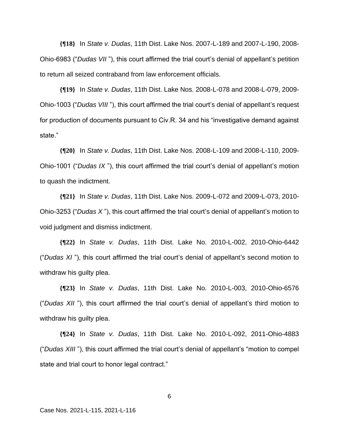**{¶18}** In *State v. Dudas*, 11th Dist. Lake Nos. 2007-L-189 and 2007-L-190, 2008- Ohio-6983 ("*Dudas VII* "), this court affirmed the trial court's denial of appellant's petition to return all seized contraband from law enforcement officials.

**{¶19}** In *State v. Dudas*, 11th Dist. Lake Nos. 2008-L-078 and 2008-L-079, 2009- Ohio-1003 ("*Dudas VIII* "), this court affirmed the trial court's denial of appellant's request for production of documents pursuant to Civ.R. 34 and his "investigative demand against state."

**{¶20}** In *State v. Dudas*, 11th Dist. Lake Nos. 2008-L-109 and 2008-L-110, 2009- Ohio-1001 ("*Dudas IX* "), this court affirmed the trial court's denial of appellant's motion to quash the indictment.

**{¶21}** In *State v. Dudas*, 11th Dist. Lake Nos. 2009-L-072 and 2009-L-073, 2010- Ohio-3253 ("*Dudas X* "), this court affirmed the trial court's denial of appellant's motion to void judgment and dismiss indictment.

**{¶22}** In *State v. Dudas*, 11th Dist. Lake No. 2010-L-002, 2010-Ohio-6442 ("*Dudas XI* "), this court affirmed the trial court's denial of appellant's second motion to withdraw his guilty plea.

**{¶23}** In *State v. Dudas*, 11th Dist. Lake No. 2010-L-003, 2010-Ohio-6576 ("*Dudas XII* "), this court affirmed the trial court's denial of appellant's third motion to withdraw his guilty plea.

**{¶24}** In *State v. Dudas*, 11th Dist. Lake No. 2010-L-092, 2011-Ohio-4883 ("*Dudas XIII* "), this court affirmed the trial court's denial of appellant's "motion to compel state and trial court to honor legal contract."

Case Nos. 2021-L-115, 2021-L-116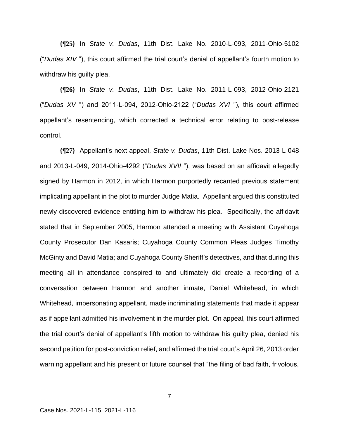**{¶25}** In *State v. Dudas*, 11th Dist. Lake No. 2010-L-093, 2011-Ohio-5102 ("*Dudas XIV* "), this court affirmed the trial court's denial of appellant's fourth motion to withdraw his guilty plea.

**{¶26}** In *State v. Dudas*, 11th Dist. Lake No. 2011-L-093, 2012-Ohio-2121 ("*Dudas XV* ") and 2011-L-094, 2012-Ohio-2122 ("*Dudas XVI* "), this court affirmed appellant's resentencing, which corrected a technical error relating to post-release control.

**{¶27}** Appellant's next appeal, *State v. Dudas*, 11th Dist. Lake Nos. 2013-L-048 and 2013-L-049, 2014-Ohio-4292 ("*Dudas XVII* "), was based on an affidavit allegedly signed by Harmon in 2012, in which Harmon purportedly recanted previous statement implicating appellant in the plot to murder Judge Matia. Appellant argued this constituted newly discovered evidence entitling him to withdraw his plea. Specifically, the affidavit stated that in September 2005, Harmon attended a meeting with Assistant Cuyahoga County Prosecutor Dan Kasaris; Cuyahoga County Common Pleas Judges Timothy McGinty and David Matia; and Cuyahoga County Sheriff's detectives, and that during this meeting all in attendance conspired to and ultimately did create a recording of a conversation between Harmon and another inmate, Daniel Whitehead, in which Whitehead, impersonating appellant, made incriminating statements that made it appear as if appellant admitted his involvement in the murder plot. On appeal, this court affirmed the trial court's denial of appellant's fifth motion to withdraw his guilty plea, denied his second petition for post-conviction relief, and affirmed the trial court's April 26, 2013 order warning appellant and his present or future counsel that "the filing of bad faith, frivolous,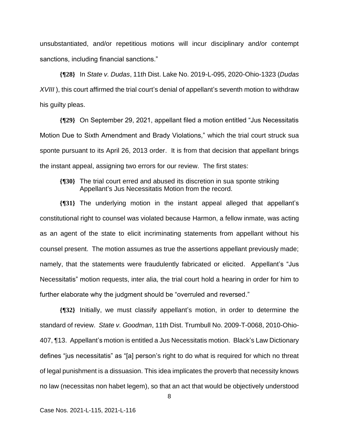unsubstantiated, and/or repetitious motions will incur disciplinary and/or contempt sanctions, including financial sanctions."

**{¶28}** In *State v. Dudas*, 11th Dist. Lake No. 2019-L-095, 2020-Ohio-1323 (*Dudas XVIII*), this court affirmed the trial court's denial of appellant's seventh motion to withdraw his guilty pleas.

**{¶29}** On September 29, 2021, appellant filed a motion entitled "Jus Necessitatis Motion Due to Sixth Amendment and Brady Violations," which the trial court struck sua sponte pursuant to its April 26, 2013 order. It is from that decision that appellant brings the instant appeal, assigning two errors for our review. The first states:

**{¶30}** The trial court erred and abused its discretion in sua sponte striking Appellant's Jus Necessitatis Motion from the record.

**{¶31}** The underlying motion in the instant appeal alleged that appellant's constitutional right to counsel was violated because Harmon, a fellow inmate, was acting as an agent of the state to elicit incriminating statements from appellant without his counsel present. The motion assumes as true the assertions appellant previously made; namely, that the statements were fraudulently fabricated or elicited. Appellant's "Jus Necessitatis" motion requests, inter alia, the trial court hold a hearing in order for him to further elaborate why the judgment should be "overruled and reversed."

**{¶32}** Initially, we must classify appellant's motion, in order to determine the standard of review. *State v. Goodman*, 11th Dist. Trumbull No. 2009-T-0068, 2010-Ohio-407, ¶13. Appellant's motion is entitled a Jus Necessitatis motion. Black's Law Dictionary defines "jus necessitatis" as "[a] person's right to do what is required for which no threat of legal punishment is a dissuasion. This idea implicates the proverb that necessity knows no law (necessitas non habet legem), so that an act that would be objectively understood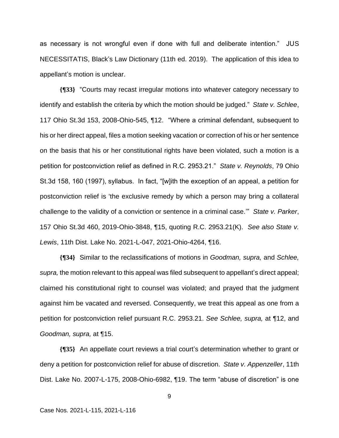as necessary is not wrongful even if done with full and deliberate intention." JUS NECESSITATIS, Black's Law Dictionary (11th ed. 2019). The application of this idea to appellant's motion is unclear.

**{¶33}** "Courts may recast irregular motions into whatever category necessary to identify and establish the criteria by which the motion should be judged." *State v. Schlee*, 117 Ohio St.3d 153, 2008-Ohio-545, ¶12. "Where a criminal defendant, subsequent to his or her direct appeal, files a motion seeking vacation or correction of his or her sentence on the basis that his or her constitutional rights have been violated, such a motion is a petition for postconviction relief as defined in R.C. 2953.21." *State v. Reynolds*, 79 Ohio St.3d 158, 160 (1997), syllabus. In fact, "[w]ith the exception of an appeal, a petition for postconviction relief is 'the exclusive remedy by which a person may bring a collateral challenge to the validity of a conviction or sentence in a criminal case.'" *State v. Parker*, 157 Ohio St.3d 460, 2019-Ohio-3848, ¶15, quoting R.C. 2953.21(K). *See also State v. Lewis*, 11th Dist. Lake No. 2021-L-047, 2021-Ohio-4264, ¶16.

**{¶34}** Similar to the reclassifications of motions in *Goodman, supra,* and *Schlee, supra,* the motion relevant to this appeal was filed subsequent to appellant's direct appeal; claimed his constitutional right to counsel was violated; and prayed that the judgment against him be vacated and reversed. Consequently, we treat this appeal as one from a petition for postconviction relief pursuant R.C. 2953.21. *See Schlee, supra,* at ¶12, and *Goodman, supra,* at ¶15.

**{¶35}** An appellate court reviews a trial court's determination whether to grant or deny a petition for postconviction relief for abuse of discretion. *State v. Appenzeller*, 11th Dist. Lake No. 2007-L-175, 2008-Ohio-6982, ¶19. The term "abuse of discretion" is one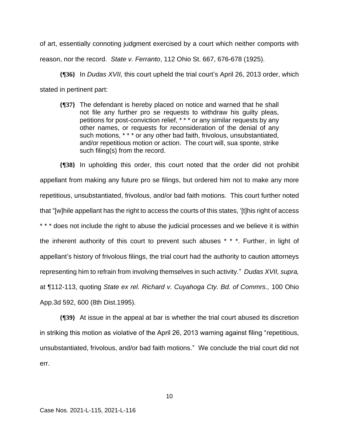of art, essentially connoting judgment exercised by a court which neither comports with reason, nor the record. *State v. Ferranto*, 112 Ohio St. 667, 676-678 (1925).

**{¶36}** In *Dudas XVII,* this court upheld the trial court's April 26, 2013 order, which stated in pertinent part:

**{¶37}** The defendant is hereby placed on notice and warned that he shall not file any further pro se requests to withdraw his guilty pleas, petitions for post-conviction relief, \* \* \* or any similar requests by any other names, or requests for reconsideration of the denial of any such motions, \* \* \* or any other bad faith, frivolous, unsubstantiated, and/or repetitious motion or action. The court will, sua sponte, strike such filing(s) from the record.

**{¶38}** In upholding this order, this court noted that the order did not prohibit appellant from making any future pro se filings, but ordered him not to make any more repetitious, unsubstantiated, frivolous, and/or bad faith motions. This court further noted that "[w]hile appellant has the right to access the courts of this states, '[t]his right of access \* \* \* does not include the right to abuse the judicial processes and we believe it is within the inherent authority of this court to prevent such abuses \* \* \*. Further, in light of appellant's history of frivolous filings, the trial court had the authority to caution attorneys representing him to refrain from involving themselves in such activity." *Dudas XVII, supra,* at ¶112-113, quoting *State ex rel. Richard v. Cuyahoga Cty. Bd. of Commrs.,* 100 Ohio App.3d 592, 600 (8th Dist.1995).

**{¶39}** At issue in the appeal at bar is whether the trial court abused its discretion in striking this motion as violative of the April 26, 2013 warning against filing "repetitious, unsubstantiated, frivolous, and/or bad faith motions." We conclude the trial court did not err.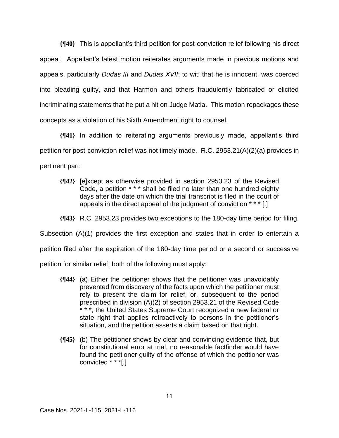**{¶40}** This is appellant's third petition for post-conviction relief following his direct appeal. Appellant's latest motion reiterates arguments made in previous motions and appeals, particularly *Dudas III* and *Dudas XVII*; to wit: that he is innocent, was coerced into pleading guilty, and that Harmon and others fraudulently fabricated or elicited incriminating statements that he put a hit on Judge Matia. This motion repackages these concepts as a violation of his Sixth Amendment right to counsel.

**{¶41}** In addition to reiterating arguments previously made, appellant's third petition for post-conviction relief was not timely made. R.C. 2953.21(A)(2)(a) provides in pertinent part:

- **{¶42}** [e]xcept as otherwise provided in section 2953.23 of the Revised Code, a petition \* \* \* shall be filed no later than one hundred eighty days after the date on which the trial transcript is filed in the court of appeals in the direct appeal of the judgment of conviction \* \* \* [.]
- **{¶43}** R.C. 2953.23 provides two exceptions to the 180-day time period for filing.

Subsection (A)(1) provides the first exception and states that in order to entertain a

petition filed after the expiration of the 180-day time period or a second or successive

petition for similar relief, both of the following must apply:

- **{¶44}** (a) Either the petitioner shows that the petitioner was unavoidably prevented from discovery of the facts upon which the petitioner must rely to present the claim for relief, or, subsequent to the period prescribed in division (A)(2) of section 2953.21 of the Revised Code \* \* \*, the United States Supreme Court recognized a new federal or state right that applies retroactively to persons in the petitioner's situation, and the petition asserts a claim based on that right.
- **{¶45}** (b) The petitioner shows by clear and convincing evidence that, but for constitutional error at trial, no reasonable factfinder would have found the petitioner guilty of the offense of which the petitioner was convicted \* \* \*[.]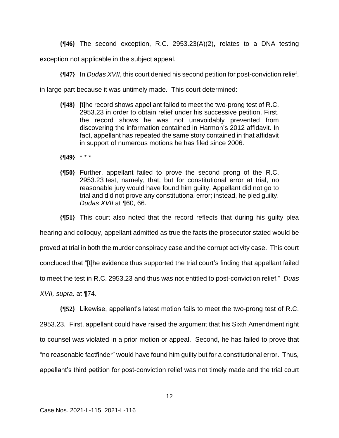**{¶46}** The second exception, R.C. 2953.23(A)(2), relates to a DNA testing

exception not applicable in the subject appeal.

**{¶47}** In *Dudas XVII*, this court denied his second petition for post-conviction relief,

in large part because it was untimely made. This court determined:

- **{¶48}** [t]he record shows appellant failed to meet the two-prong test of R.C. 2953.23 in order to obtain relief under his successive petition. First, the record shows he was not unavoidably prevented from discovering the information contained in Harmon's 2012 affidavit. In fact, appellant has repeated the same story contained in that affidavit in support of numerous motions he has filed since 2006.
- **{¶49}** \* \* \*
- **{¶50}** Further, appellant failed to prove the second prong of the R.C. 2953.23 test, namely, that, but for constitutional error at trial, no reasonable jury would have found him guilty. Appellant did not go to trial and did not prove any constitutional error; instead, he pled guilty. *Dudas XVII* at ¶60, 66.

**{¶51}** This court also noted that the record reflects that during his guilty plea

hearing and colloquy, appellant admitted as true the facts the prosecutor stated would be

proved at trial in both the murder conspiracy case and the corrupt activity case. This court

concluded that "[t]he evidence thus supported the trial court's finding that appellant failed

to meet the test in R.C. 2953.23 and thus was not entitled to post-conviction relief." *Duas* 

*XVII, supra,* at ¶74.

**{¶52}** Likewise, appellant's latest motion fails to meet the two-prong test of R.C. 2953.23. First, appellant could have raised the argument that his Sixth Amendment right to counsel was violated in a prior motion or appeal. Second, he has failed to prove that "no reasonable factfinder" would have found him guilty but for a constitutional error. Thus, appellant's third petition for post-conviction relief was not timely made and the trial court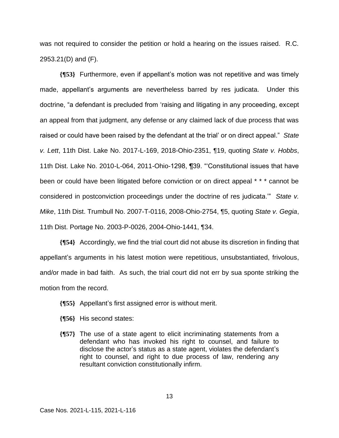was not required to consider the petition or hold a hearing on the issues raised. R.C. 2953.21(D) and (F).

**{¶53}** Furthermore, even if appellant's motion was not repetitive and was timely made, appellant's arguments are nevertheless barred by res judicata. Under this doctrine, "a defendant is precluded from 'raising and litigating in any proceeding, except an appeal from that judgment, any defense or any claimed lack of due process that was raised or could have been raised by the defendant at the trial' or on direct appeal." *State v. Lett*, 11th Dist. Lake No. 2017-L-169, 2018-Ohio-2351, ¶19, quoting *State v. Hobbs*, 11th Dist. Lake No. 2010-L-064, 2011-Ohio-1298, ¶39. "'Constitutional issues that have been or could have been litigated before conviction or on direct appeal \* \* \* cannot be considered in postconviction proceedings under the doctrine of res judicata.'" *State v. Mike*, 11th Dist. Trumbull No. 2007-T-0116, 2008-Ohio-2754, ¶5, quoting *State v. Gegia*, 11th Dist. Portage No. 2003-P-0026, 2004-Ohio-1441, ¶34.

**{¶54}** Accordingly, we find the trial court did not abuse its discretion in finding that appellant's arguments in his latest motion were repetitious, unsubstantiated, frivolous, and/or made in bad faith. As such, the trial court did not err by sua sponte striking the motion from the record.

- **{¶55}** Appellant's first assigned error is without merit.
- **{¶56}** His second states:
- **{¶57}** The use of a state agent to elicit incriminating statements from a defendant who has invoked his right to counsel, and failure to disclose the actor's status as a state agent, violates the defendant's right to counsel, and right to due process of law, rendering any resultant conviction constitutionally infirm.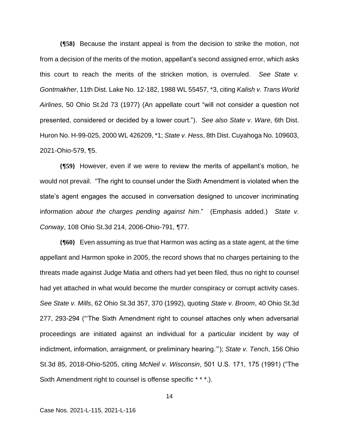**{¶58}** Because the instant appeal is from the decision to strike the motion, not from a decision of the merits of the motion, appellant's second assigned error, which asks this court to reach the merits of the stricken motion, is overruled. *See State v. Gontmakher*, 11th Dist. Lake No. 12-182, 1988 WL 55457, \*3, citing *Kalish v. Trans World Airlines*, 50 Ohio St.2d 73 (1977) (An appellate court "will not consider a question not presented, considered or decided by a lower court."). *See also State v. Ware*, 6th Dist. Huron No. H-99-025, 2000 WL 426209, \*1; *State v. Hess*, 8th Dist. Cuyahoga No. 109603, 2021-Ohio-579, ¶5.

**{¶59}** However, even if we were to review the merits of appellant's motion, he would not prevail. "The right to counsel under the Sixth Amendment is violated when the state's agent engages the accused in conversation designed to uncover incriminating information *about the charges pending against him*." (Emphasis added.) *State v. Conway*, 108 Ohio St.3d 214, 2006-Ohio-791, ¶77.

**{¶60}** Even assuming as true that Harmon was acting as a state agent, at the time appellant and Harmon spoke in 2005, the record shows that no charges pertaining to the threats made against Judge Matia and others had yet been filed, thus no right to counsel had yet attached in what would become the murder conspiracy or corrupt activity cases. *See State v. Mills*, 62 Ohio St.3d 357, 370 (1992), quoting *State v. Broom*, 40 Ohio St.3d 277, 293-294 ("'The Sixth Amendment right to counsel attaches only when adversarial proceedings are initiated against an individual for a particular incident by way of indictment, information, arraignment, or preliminary hearing.'"); *State v. Tench*, 156 Ohio St.3d 85, 2018-Ohio-5205, citing *McNeil v. Wisconsin*, 501 U.S. 171, 175 (1991) ("The Sixth Amendment right to counsel is offense specific \* \* \*.).